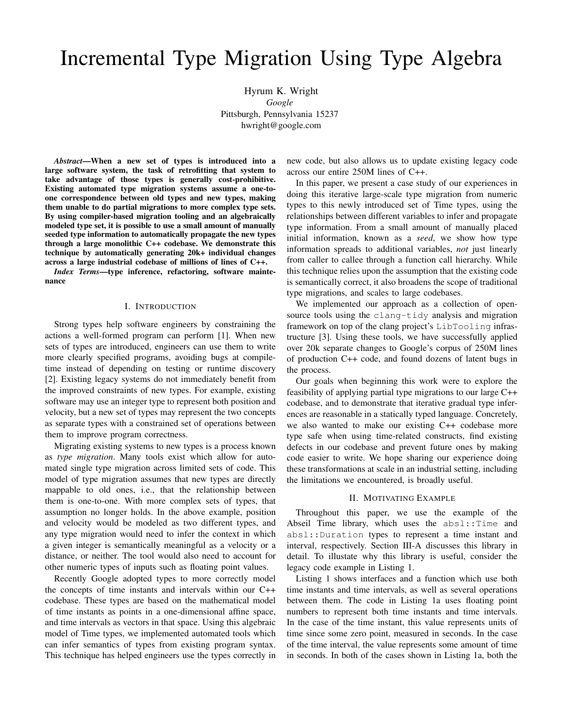# Incremental Type Migration Using Type Algebra

Hyrum K. Wright *Google* Pittsburgh, Pennsylvania 15237 hwright@google.com

*Abstract*—When a new set of types is introduced into a large software system, the task of retrofitting that system to take advantage of those types is generally cost-prohibitive. Existing automated type migration systems assume a one-toone correspondence between old types and new types, making them unable to do partial migrations to more complex type sets. By using compiler-based migration tooling and an algebraically modeled type set, it is possible to use a small amount of manually seeded type information to automatically propagate the new types through a large monolithic C++ codebase. We demonstrate this technique by automatically generating 20k+ individual changes across a large industrial codebase of millions of lines of C++.

*Index Terms*—type inference, refactoring, software maintenance

#### I. INTRODUCTION

Strong types help software engineers by constraining the actions a well-formed program can perform [1]. When new sets of types are introduced, engineers can use them to write more clearly specified programs, avoiding bugs at compiletime instead of depending on testing or runtime discovery [2]. Existing legacy systems do not immediately benefit from the improved constraints of new types. For example, existing software may use an integer type to represent both position and velocity, but a new set of types may represent the two concepts as separate types with a constrained set of operations between them to improve program correctness.

Migrating existing systems to new types is a process known as *type migration*. Many tools exist which allow for automated single type migration across limited sets of code. This model of type migration assumes that new types are directly mappable to old ones, i.e., that the relationship between them is one-to-one. With more complex sets of types, that assumption no longer holds. In the above example, position and velocity would be modeled as two different types, and any type migration would need to infer the context in which a given integer is semantically meaningful as a velocity or a distance, or neither. The tool would also need to account for other numeric types of inputs such as floating point values.

Recently Google adopted types to more correctly model the concepts of time instants and intervals within our C++ codebase. These types are based on the mathematical model of time instants as points in a one-dimensional affine space, and time intervals as vectors in that space. Using this algebraic model of Time types, we implemented automated tools which can infer semantics of types from existing program syntax. This technique has helped engineers use the types correctly in

new code, but also allows us to update existing legacy code across our entire 250M lines of C++.

In this paper, we present a case study of our experiences in doing this iterative large-scale type migration from numeric types to this newly introduced set of Time types, using the relationships between different variables to infer and propagate type information. From a small amount of manually placed initial information, known as a *seed*, we show how type information spreads to additional variables, *not* just linearly from caller to callee through a function call hierarchy. While this technique relies upon the assumption that the existing code is semantically correct, it also broadens the scope of traditional type migrations, and scales to large codebases.

We implemented our approach as a collection of opensource tools using the clang-tidy analysis and migration framework on top of the clang project's LibTooling infrastructure [3]. Using these tools, we have successfully applied over 20k separate changes to Google's corpus of 250M lines of production C++ code, and found dozens of latent bugs in the process.

Our goals when beginning this work were to explore the feasibility of applying partial type migrations to our large C++ codebase, and to demonstrate that iterative gradual type inferences are reasonable in a statically typed language. Concretely, we also wanted to make our existing C++ codebase more type safe when using time-related constructs, find existing defects in our codebase and prevent future ones by making code easier to write. We hope sharing our experience doing these transformations at scale in an industrial setting, including the limitations we encountered, is broadly useful.

#### II. MOTIVATING EXAMPLE

Throughout this paper, we use the example of the Abseil Time library, which uses the absl::Time and absl::Duration types to represent a time instant and interval, respectively. Section III-A discusses this library in detail. To illustate why this library is useful, consider the legacy code example in Listing 1.

Listing 1 shows interfaces and a function which use both time instants and time intervals, as well as several operations between them. The code in Listing 1a uses floating point numbers to represent both time instants and time intervals. In the case of the time instant, this value represents units of time since some zero point, measured in seconds. In the case of the time interval, the value represents some amount of time in seconds. In both of the cases shown in Listing 1a, both the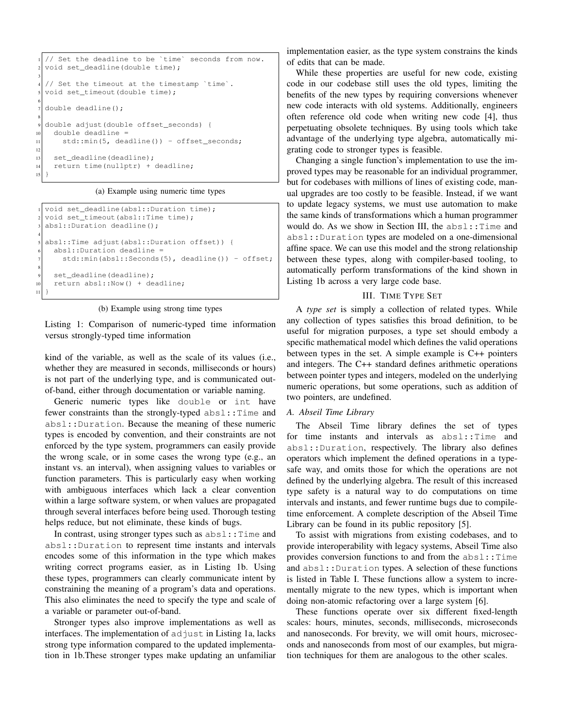```
1 // Set the deadline to be `time` seconds from now.
  void set_deadline(double time);
3
  4 // Set the timeout at the timestamp `time`.
  void set_timeout(double time);
6
  double deadline();
8
9 double adjust(double offset_seconds) {
|10| double deadline =
11 std::min(5, deadline()) - offset seconds;
12
|13| set_deadline(deadline);
14 return time(nullptr) + deadline;
15 }
```
(a) Example using numeric time types

```
void set_deadline(absl::Duration time);
  void set_timeout(absl::Time time);
  absl::Duration deadline();
4
  absl::Time adjust(absl::Duration offset)) {
    absl::Duration deadline =
      std::min(absl::Seconds(5), deadline()) - offset;
8
    set_deadline(deadline);
|10| return absl::Now() + deadline;
11 }
```


Listing 1: Comparison of numeric-typed time information versus strongly-typed time information

kind of the variable, as well as the scale of its values (i.e., whether they are measured in seconds, milliseconds or hours) is not part of the underlying type, and is communicated outof-band, either through documentation or variable naming.

Generic numeric types like double or int have fewer constraints than the strongly-typed absl::Time and absl::Duration. Because the meaning of these numeric types is encoded by convention, and their constraints are not enforced by the type system, programmers can easily provide the wrong scale, or in some cases the wrong type (e.g., an instant vs. an interval), when assigning values to variables or function parameters. This is particularly easy when working with ambiguous interfaces which lack a clear convention within a large software system, or when values are propagated through several interfaces before being used. Thorough testing helps reduce, but not eliminate, these kinds of bugs.

In contrast, using stronger types such as  $abs1::Time$  and absl::Duration to represent time instants and intervals encodes some of this information in the type which makes writing correct programs easier, as in Listing 1b. Using these types, programmers can clearly communicate intent by constraining the meaning of a program's data and operations. This also eliminates the need to specify the type and scale of a variable or parameter out-of-band.

Stronger types also improve implementations as well as interfaces. The implementation of adjust in Listing 1a, lacks strong type information compared to the updated implementation in 1b.These stronger types make updating an unfamiliar

implementation easier, as the type system constrains the kinds of edits that can be made.

While these properties are useful for new code, existing code in our codebase still uses the old types, limiting the benefits of the new types by requiring conversions whenever new code interacts with old systems. Additionally, engineers often reference old code when writing new code [4], thus perpetuating obsolete techniques. By using tools which take advantage of the underlying type algebra, automatically migrating code to stronger types is feasible.

Changing a single function's implementation to use the improved types may be reasonable for an individual programmer, but for codebases with millions of lines of existing code, manual upgrades are too costly to be feasible. Instead, if we want to update legacy systems, we must use automation to make the same kinds of transformations which a human programmer would do. As we show in Section III, the absl::Time and absl::Duration types are modeled on a one-dimensional affine space. We can use this model and the strong relationship between these types, along with compiler-based tooling, to automatically perform transformations of the kind shown in Listing 1b across a very large code base.

# III. TIME TYPE SET

A *type set* is simply a collection of related types. While any collection of types satisfies this broad definition, to be useful for migration purposes, a type set should embody a specific mathematical model which defines the valid operations between types in the set. A simple example is C++ pointers and integers. The C++ standard defines arithmetic operations between pointer types and integers, modeled on the underlying numeric operations, but some operations, such as addition of two pointers, are undefined.

#### *A. Abseil Time Library*

The Abseil Time library defines the set of types for time instants and intervals as absl::Time and absl::Duration, respectively. The library also defines operators which implement the defined operations in a typesafe way, and omits those for which the operations are not defined by the underlying algebra. The result of this increased type safety is a natural way to do computations on time intervals and instants, and fewer runtime bugs due to compiletime enforcement. A complete description of the Abseil Time Library can be found in its public repository [5].

To assist with migrations from existing codebases, and to provide interoperability with legacy systems, Abseil Time also provides conversion functions to and from the  $abs1::Time$ and absl::Duration types. A selection of these functions is listed in Table I. These functions allow a system to incrementally migrate to the new types, which is important when doing non-atomic refactoring over a large system [6].

These functions operate over six different fixed-length scales: hours, minutes, seconds, milliseconds, microseconds and nanoseconds. For brevity, we will omit hours, microseconds and nanoseconds from most of our examples, but migration techniques for them are analogous to the other scales.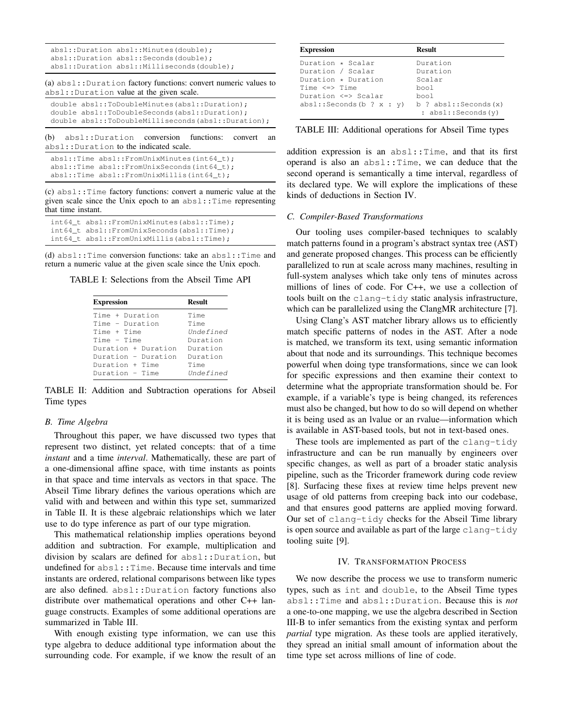```
absl::Duration absl::Minutes(double);
absl::Duration absl::Seconds(double);
absl::Duration absl::Milliseconds(double);
```
(a) absl::Duration factory functions: convert numeric values to absl::Duration value at the given scale.

double absl::ToDoubleMinutes(absl::Duration); double absl::ToDoubleSeconds(absl::Duration); double absl::ToDoubleMilliseconds(absl::Duration);

(b) absl::Duration conversion functions: convert an absl::Duration to the indicated scale.

```
absl::Time absl::FromUnixMinutes(int64_t);
absl::Time absl::FromUnixSeconds(int64_t);
absl::Time absl::FromUnixMillis(int64 t);
```
(c) absl::Time factory functions: convert a numeric value at the given scale since the Unix epoch to an absl::Time representing that time instant.

| $int64$ t absl::FromUnixMinutes(absl::Time); |  |
|----------------------------------------------|--|
| $int64$ t absl::FromUnixSeconds(absl::Time); |  |
| int64 t absl::FromUnixMillis(absl::Time);    |  |

(d) absl::Time conversion functions: take an absl::Time and return a numeric value at the given scale since the Unix epoch.

TABLE I: Selections from the Abseil Time API

| <b>Expression</b>   | <b>Result</b> |
|---------------------|---------------|
| Time + Duration     | Time          |
| Time - Duration     | Time          |
| Time + Time         | Undefined     |
| Time - Time         | Duration      |
| Duration + Duration | Duration      |
| Duration - Duration | Duration      |
| Duration + Time     | Time          |
| Duration - Time     | Undefined     |

TABLE II: Addition and Subtraction operations for Abseil Time types

#### *B. Time Algebra*

Throughout this paper, we have discussed two types that represent two distinct, yet related concepts: that of a time *instant* and a time *interval*. Mathematically, these are part of a one-dimensional affine space, with time instants as points in that space and time intervals as vectors in that space. The Abseil Time library defines the various operations which are valid with and between and within this type set, summarized in Table II. It is these algebraic relationships which we later use to do type inference as part of our type migration.

This mathematical relationship implies operations beyond addition and subtraction. For example, multiplication and division by scalars are defined for absl::Duration, but undefined for absl::Time. Because time intervals and time instants are ordered, relational comparisons between like types are also defined. absl:: Duration factory functions also distribute over mathematical operations and other C++ language constructs. Examples of some additional operations are summarized in Table III.

With enough existing type information, we can use this type algebra to deduce additional type information about the surrounding code. For example, if we know the result of an

| <b>Expression</b>        | <b>Result</b>                                  |
|--------------------------|------------------------------------------------|
| Duration * Scalar        | Duration                                       |
| Duration / Scalar        | Duration                                       |
| Duration * Duration      | Scalar                                         |
| Time $\le$ $\ge$ Time    | bool.                                          |
| Duration <=> Scalar      | bool.                                          |
| abs1::Seconds(b ? x : v) | $b$ ? absl::Seconds(x)<br>: $abs1::Seconds(y)$ |

TABLE III: Additional operations for Abseil Time types

addition expression is an absl::Time, and that its first operand is also an absl::Time, we can deduce that the second operand is semantically a time interval, regardless of its declared type. We will explore the implications of these kinds of deductions in Section IV.

## *C. Compiler-Based Transformations*

Our tooling uses compiler-based techniques to scalably match patterns found in a program's abstract syntax tree (AST) and generate proposed changes. This process can be efficiently parallelized to run at scale across many machines, resulting in full-system analyses which take only tens of minutes across millions of lines of code. For C++, we use a collection of tools built on the clang-tidy static analysis infrastructure, which can be parallelized using the ClangMR architecture [7].

Using Clang's AST matcher library allows us to efficiently match specific patterns of nodes in the AST. After a node is matched, we transform its text, using semantic information about that node and its surroundings. This technique becomes powerful when doing type transformations, since we can look for specific expressions and then examine their context to determine what the appropriate transformation should be. For example, if a variable's type is being changed, its references must also be changed, but how to do so will depend on whether it is being used as an lvalue or an rvalue—information which is available in AST-based tools, but not in text-based ones.

These tools are implemented as part of the clang-tidy infrastructure and can be run manually by engineers over specific changes, as well as part of a broader static analysis pipeline, such as the Tricorder framework during code review [8]. Surfacing these fixes at review time helps prevent new usage of old patterns from creeping back into our codebase, and that ensures good patterns are applied moving forward. Our set of clang-tidy checks for the Abseil Time library is open source and available as part of the large clang-tidy tooling suite [9].

## IV. TRANSFORMATION PROCESS

We now describe the process we use to transform numeric types, such as int and double, to the Abseil Time types absl::Time and absl::Duration. Because this is *not* a one-to-one mapping, we use the algebra described in Section III-B to infer semantics from the existing syntax and perform *partial* type migration. As these tools are applied iteratively, they spread an initial small amount of information about the time type set across millions of line of code.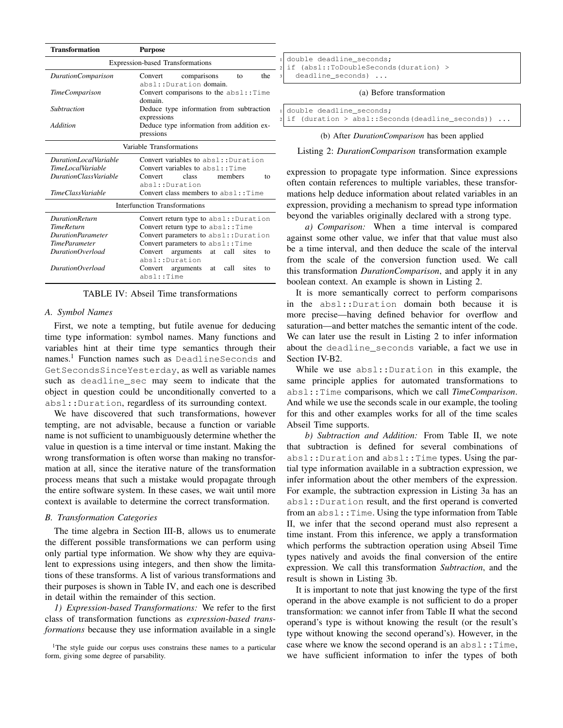| <b>Transformation</b>     | <b>Purpose</b>                                  |  |  |  |
|---------------------------|-------------------------------------------------|--|--|--|
|                           | <b>Expression-based Transformations</b>         |  |  |  |
| <b>DurationComparison</b> | the<br>comparisons<br>Convert<br>to             |  |  |  |
|                           | absl::Duration domain.                          |  |  |  |
| <i>TimeComparison</i>     | Convert comparisons to the $absl$ : : Time      |  |  |  |
|                           | domain.                                         |  |  |  |
| Subtraction               | Deduce type information from subtraction        |  |  |  |
|                           | expressions                                     |  |  |  |
| Addition                  | Deduce type information from addition ex-       |  |  |  |
|                           | pressions                                       |  |  |  |
|                           | Variable Transformations                        |  |  |  |
| DurationLocalVariable     | Convert variables to absl:: Duration            |  |  |  |
| TimeLocalVariable         | Convert variables to absl::Time                 |  |  |  |
| DurationClassVariable     | Convert<br>class<br>members<br>to               |  |  |  |
|                           | absl::Duration                                  |  |  |  |
| TimeClassVariable         | Convert class members to $absl$ : Time          |  |  |  |
|                           | <b>Interfunction Transformations</b>            |  |  |  |
| <b>DurationReturn</b>     | Convert return type to absl::Duration           |  |  |  |
| <b>TimeReturn</b>         | Convert return type to absl::Time               |  |  |  |
| <b>DurationParameter</b>  | Convert parameters to absl:: Duration           |  |  |  |
| <b>TimeParameter</b>      | Convert parameters to absl::Time                |  |  |  |
| DurationOverload          | Convert<br>arguments<br>at call<br>sites<br>to  |  |  |  |
|                           | absl::Duration                                  |  |  |  |
| DurationOverload          | Convert arguments<br>call<br>sites<br>at.<br>to |  |  |  |
|                           | absl::Time                                      |  |  |  |
|                           |                                                 |  |  |  |

# TABLE IV: Abseil Time transformations

# *A. Symbol Names*

First, we note a tempting, but futile avenue for deducing time type information: symbol names. Many functions and variables hint at their time type semantics through their names.<sup>1</sup> Function names such as DeadlineSeconds and GetSecondsSinceYesterday, as well as variable names such as deadline\_sec may seem to indicate that the object in question could be unconditionally converted to a absl::Duration, regardless of its surrounding context.

We have discovered that such transformations, however tempting, are not advisable, because a function or variable name is not sufficient to unambiguously determine whether the value in question is a time interval or time instant. Making the wrong transformation is often worse than making no transformation at all, since the iterative nature of the transformation process means that such a mistake would propagate through the entire software system. In these cases, we wait until more context is available to determine the correct transformation.

# *B. Transformation Categories*

The time algebra in Section III-B, allows us to enumerate the different possible transformations we can perform using only partial type information. We show why they are equivalent to expressions using integers, and then show the limitations of these transforms. A list of various transformations and their purposes is shown in Table IV, and each one is described in detail within the remainder of this section.

*1) Expression-based Transformations:* We refer to the first class of transformation functions as *expression-based transformations* because they use information available in a single

<sup>1</sup>The style guide our corpus uses constrains these names to a particular form, giving some degree of parsability.

double deadline\_seconds; if (absl::ToDoubleSeconds(duration) > deadline\_seconds) ...

#### (a) Before transformation

|  |  | double deadline_seconds;                              |  |
|--|--|-------------------------------------------------------|--|
|  |  | $_2$  if (duration > absl::Seconds(deadline seconds)) |  |
|  |  |                                                       |  |

|  | (b) After <i>DurationComparison</i> has been applied |  |  |
|--|------------------------------------------------------|--|--|
|  |                                                      |  |  |

Listing 2: *DurationComparison* transformation example

expression to propagate type information. Since expressions often contain references to multiple variables, these transformations help deduce information about related variables in an expression, providing a mechanism to spread type information beyond the variables originally declared with a strong type.

*a) Comparison:* When a time interval is compared against some other value, we infer that that value must also be a time interval, and then deduce the scale of the interval from the scale of the conversion function used. We call this transformation *DurationComparison*, and apply it in any boolean context. An example is shown in Listing 2.

It is more semantically correct to perform comparisons in the absl::Duration domain both because it is more precise—having defined behavior for overflow and saturation—and better matches the semantic intent of the code. We can later use the result in Listing 2 to infer information about the deadline\_seconds variable, a fact we use in Section IV-B2.

While we use absl::Duration in this example, the same principle applies for automated transformations to absl::Time comparisons, which we call *TimeComparison*. And while we use the seconds scale in our example, the tooling for this and other examples works for all of the time scales Abseil Time supports.

*b) Subtraction and Addition:* From Table II, we note that subtraction is defined for several combinations of absl::Duration and absl::Time types. Using the partial type information available in a subtraction expression, we infer information about the other members of the expression. For example, the subtraction expression in Listing 3a has an absl::Duration result, and the first operand is converted from an absl::Time. Using the type information from Table II, we infer that the second operand must also represent a time instant. From this inference, we apply a transformation which performs the subtraction operation using Abseil Time types natively and avoids the final conversion of the entire expression. We call this transformation *Subtraction*, and the result is shown in Listing 3b.

It is important to note that just knowing the type of the first operand in the above example is not sufficient to do a proper transformation: we cannot infer from Table II what the second operand's type is without knowing the result (or the result's type without knowing the second operand's). However, in the case where we know the second operand is an  $abs1::Time$ , we have sufficient information to infer the types of both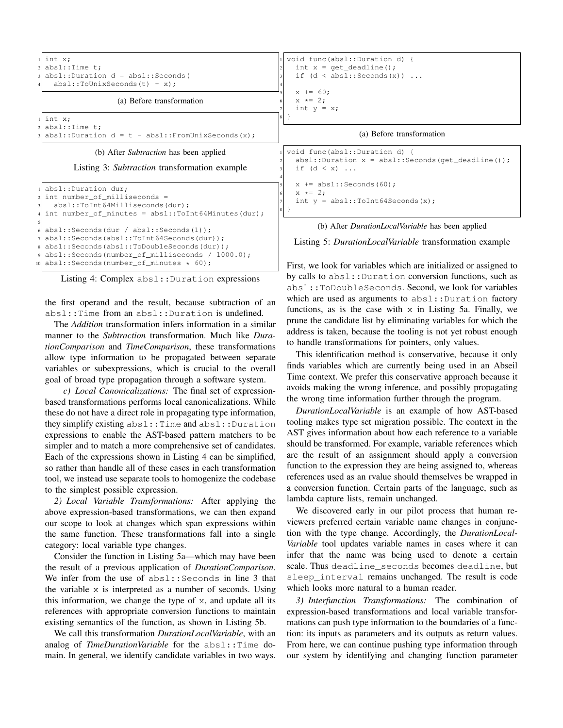

absl::Seconds(number\_of\_milliseconds / 1000.0);  $10$  absl::Seconds(number\_of\_minutes  $\star$  60);

Listing 4: Complex absl::Duration expressions

the first operand and the result, because subtraction of an absl::Time from an absl::Duration is undefined.

The *Addition* transformation infers information in a similar manner to the *Subtraction* transformation. Much like *DurationComparison* and *TimeComparison*, these transformations allow type information to be propagated between separate variables or subexpressions, which is crucial to the overall goal of broad type propagation through a software system.

*c) Local Canonicalizations:* The final set of expressionbased transformations performs local canonicalizations. While these do not have a direct role in propagating type information, they simplify existing absl::Time and absl::Duration expressions to enable the AST-based pattern matchers to be simpler and to match a more comprehensive set of candidates. Each of the expressions shown in Listing 4 can be simplified, so rather than handle all of these cases in each transformation tool, we instead use separate tools to homogenize the codebase to the simplest possible expression.

*2) Local Variable Transformations:* After applying the above expression-based transformations, we can then expand our scope to look at changes which span expressions within the same function. These transformations fall into a single category: local variable type changes.

Consider the function in Listing 5a—which may have been the result of a previous application of *DurationComparison*. We infer from the use of absl::Seconds in line 3 that the variable  $x$  is interpreted as a number of seconds. Using this information, we change the type of  $x$ , and update all its references with appropriate conversion functions to maintain existing semantics of the function, as shown in Listing 5b.

We call this transformation *DurationLocalVariable*, with an analog of *TimeDurationVariable* for the absl::Time domain. In general, we identify candidate variables in two ways. First, we look for variables which are initialized or assigned to by calls to absl::Duration conversion functions, such as absl::ToDoubleSeconds. Second, we look for variables which are used as arguments to absl::Duration factory functions, as is the case with  $x$  in Listing 5a. Finally, we prune the candidate list by eliminating variables for which the address is taken, because the tooling is not yet robust enough to handle transformations for pointers, only values.

This identification method is conservative, because it only finds variables which are currently being used in an Abseil Time context. We prefer this conservative approach because it avoids making the wrong inference, and possibly propagating the wrong time information further through the program.

*DurationLocalVariable* is an example of how AST-based tooling makes type set migration possible. The context in the AST gives information about how each reference to a variable should be transformed. For example, variable references which are the result of an assignment should apply a conversion function to the expression they are being assigned to, whereas references used as an rvalue should themselves be wrapped in a conversion function. Certain parts of the language, such as lambda capture lists, remain unchanged.

We discovered early in our pilot process that human reviewers preferred certain variable name changes in conjunction with the type change. Accordingly, the *DurationLocal-Variable* tool updates variable names in cases where it can infer that the name was being used to denote a certain scale. Thus deadline\_seconds becomes deadline, but sleep\_interval remains unchanged. The result is code which looks more natural to a human reader.

*3) Interfunction Transformations:* The combination of expression-based transformations and local variable transformations can push type information to the boundaries of a function: its inputs as parameters and its outputs as return values. From here, we can continue pushing type information through our system by identifying and changing function parameter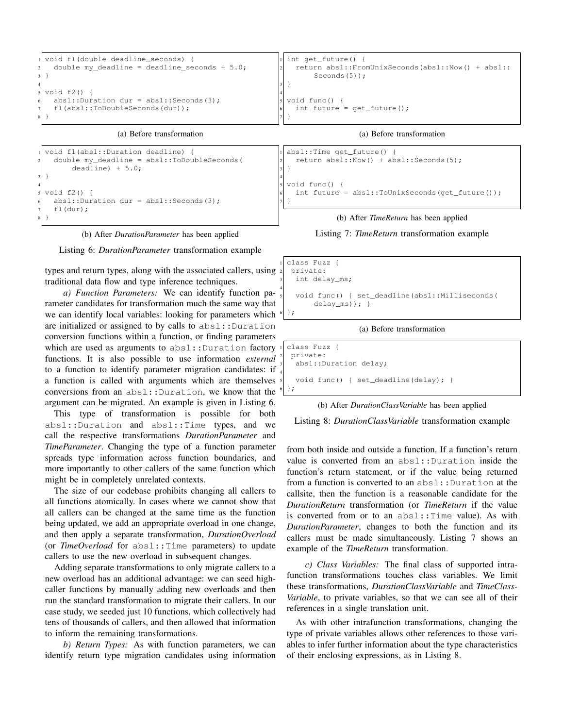|                | $1$ void f1(double deadline seconds) {          | int $qet_future()$                                |
|----------------|-------------------------------------------------|---------------------------------------------------|
| $\overline{2}$ | double my deadline = deadline seconds + $5.0$ ; | return absl::FromUnixSeconds(absl::Now() + absl:: |
|                |                                                 | Seconds $(5)$ );                                  |
|                |                                                 |                                                   |
|                | $s$   void $f(2)$ {                             |                                                   |
| 6 <sup>1</sup> | $abs1$ ::Duration dur = $abs1$ ::Seconds(3);    | void func() {                                     |
|                | fl(absl::ToboubleSeconds(dur));                 | int future = $get_future()$ ;                     |
| 8 <sup>1</sup> |                                                 |                                                   |
|                |                                                 |                                                   |

4

(a) Before transformation

```
void f1(absl::Duration deadline) {
   2 double my_deadline = absl::ToDoubleSeconds(
       deadline) + 5.0;
3 }
4
 void f2() {
   absl::Duration dur = absl::Seconds(3);
   f1(dur);
8 }
```




types and return types, along with the associated callers, using traditional data flow and type inference techniques.

*a) Function Parameters:* We can identify function parameter candidates for transformation much the same way that we can identify local variables: looking for parameters which are initialized or assigned to by calls to absl::Duration conversion functions within a function, or finding parameters which are used as arguments to absl:: Duration factory functions. It is also possible to use information *external* to a function to identify parameter migration candidates: if a function is called with arguments which are themselves conversions from an absl::Duration, we know that the argument can be migrated. An example is given in Listing 6.

This type of transformation is possible for both absl::Duration and absl::Time types, and we call the respective transformations *DurationParameter* and *TimeParameter*. Changing the type of a function parameter spreads type information across function boundaries, and more importantly to other callers of the same function which might be in completely unrelated contexts.

The size of our codebase prohibits changing all callers to all functions atomically. In cases where we cannot show that all callers can be changed at the same time as the function being updated, we add an appropriate overload in one change, and then apply a separate transformation, *DurationOverload* (or *TimeOverload* for absl::Time parameters) to update callers to use the new overload in subsequent changes.

Adding separate transformations to only migrate callers to a new overload has an additional advantage: we can seed highcaller functions by manually adding new overloads and then run the standard transformation to migrate their callers. In our case study, we seeded just 10 functions, which collectively had tens of thousands of callers, and then allowed that information to inform the remaining transformations.

*b) Return Types:* As with function parameters, we can identify return type migration candidates using information

#### (a) Before transformation

```
absl::Time get_future() {
   return absl::Now() + absl::Seconds(5);
3 }
 void func() {
   int future = absl::ToUnixSeconds(get_future());
7 }
```
## (b) After *TimeReturn* has been applied

#### Listing 7: *TimeReturn* transformation example



#### (a) Before transformation

|     | iclass Fuzz {                                          |
|-----|--------------------------------------------------------|
|     | 2 private:                                             |
|     | absl::Duration delay;                                  |
|     |                                                        |
|     | s   void func() {        set_deadline(delay);        } |
| 6}; |                                                        |

#### (b) After *DurationClassVariable* has been applied

Listing 8: *DurationClassVariable* transformation example

from both inside and outside a function. If a function's return value is converted from an absl::Duration inside the function's return statement, or if the value being returned from a function is converted to an absl::Duration at the callsite, then the function is a reasonable candidate for the *DurationReturn* transformation (or *TimeReturn* if the value is converted from or to an absl::Time value). As with *DurationParameter*, changes to both the function and its callers must be made simultaneously. Listing 7 shows an example of the *TimeReturn* transformation.

*c) Class Variables:* The final class of supported intrafunction transformations touches class variables. We limit these transformations, *DurationClassVariable* and *TimeClass-Variable*, to private variables, so that we can see all of their references in a single translation unit.

As with other intrafunction transformations, changing the type of private variables allows other references to those variables to infer further information about the type characteristics of their enclosing expressions, as in Listing 8.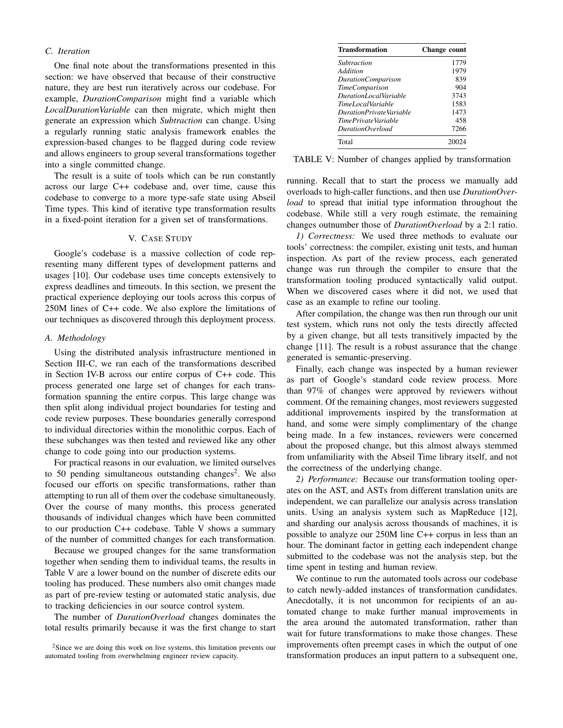# *C. Iteration*

One final note about the transformations presented in this section: we have observed that because of their constructive nature, they are best run iteratively across our codebase. For example, *DurationComparison* might find a variable which *LocalDurationVariable* can then migrate, which might then generate an expression which *Subtraction* can change. Using a regularly running static analysis framework enables the expression-based changes to be flagged during code review and allows engineers to group several transformations together into a single committed change.

The result is a suite of tools which can be run constantly across our large C++ codebase and, over time, cause this codebase to converge to a more type-safe state using Abseil Time types. This kind of iterative type transformation results in a fixed-point iteration for a given set of transformations.

# V. CASE STUDY

Google's codebase is a massive collection of code representing many different types of development patterns and usages [10]. Our codebase uses time concepts extensively to express deadlines and timeouts. In this section, we present the practical experience deploying our tools across this corpus of 250M lines of C++ code. We also explore the limitations of our techniques as discovered through this deployment process.

## *A. Methodology*

Using the distributed analysis infrastructure mentioned in Section III-C, we ran each of the transformations described in Section IV-B across our entire corpus of C++ code. This process generated one large set of changes for each transformation spanning the entire corpus. This large change was then split along individual project boundaries for testing and code review purposes. These boundaries generally correspond to individual directories within the monolithic corpus. Each of these subchanges was then tested and reviewed like any other change to code going into our production systems.

For practical reasons in our evaluation, we limited ourselves to 50 pending simultaneous outstanding changes<sup>2</sup>. We also focused our efforts on specific transformations, rather than attempting to run all of them over the codebase simultaneously. Over the course of many months, this process generated thousands of individual changes which have been committed to our production C++ codebase. Table V shows a summary of the number of committed changes for each transformation.

Because we grouped changes for the same transformation together when sending them to individual teams, the results in Table V are a lower bound on the number of discrete edits our tooling has produced. These numbers also omit changes made as part of pre-review testing or automated static analysis, due to tracking deficiencies in our source control system.

The number of *DurationOverload* changes dominates the total results primarily because it was the first change to start

| <b>Transformation</b>     | Change count |  |
|---------------------------|--------------|--|
| Subtraction               | 1779         |  |
| Addition                  | 1979         |  |
| <b>DurationComparison</b> | 839          |  |
| TimeComparison            | 904          |  |
| DurationI ocalVariable    | 3743         |  |
| TimeLocalVariable         | 1583         |  |
| DurationPrivateVariable   | 1473         |  |
| TimePrivateVariable       | 458          |  |
| DurationOverload          | 7266         |  |
| Total                     | 20024        |  |

TABLE V: Number of changes applied by transformation

running. Recall that to start the process we manually add overloads to high-caller functions, and then use *DurationOverload* to spread that initial type information throughout the codebase. While still a very rough estimate, the remaining changes outnumber those of *DurationOverload* by a 2:1 ratio.

*1) Correctness:* We used three methods to evaluate our tools' correctness: the compiler, existing unit tests, and human inspection. As part of the review process, each generated change was run through the compiler to ensure that the transformation tooling produced syntactically valid output. When we discovered cases where it did not, we used that case as an example to refine our tooling.

After compilation, the change was then run through our unit test system, which runs not only the tests directly affected by a given change, but all tests transitively impacted by the change [11]. The result is a robust assurance that the change generated is semantic-preserving.

Finally, each change was inspected by a human reviewer as part of Google's standard code review process. More than 97% of changes were approved by reviewers without comment. Of the remaining changes, most reviewers suggested additional improvements inspired by the transformation at hand, and some were simply complimentary of the change being made. In a few instances, reviewers were concerned about the proposed change, but this almost always stemmed from unfamiliarity with the Abseil Time library itself, and not the correctness of the underlying change.

*2) Performance:* Because our transformation tooling operates on the AST, and ASTs from different translation units are independent, we can parallelize our analysis across translation units. Using an analysis system such as MapReduce [12], and sharding our analysis across thousands of machines, it is possible to analyze our 250M line C++ corpus in less than an hour. The dominant factor in getting each independent change submitted to the codebase was not the analysis step, but the time spent in testing and human review.

We continue to run the automated tools across our codebase to catch newly-added instances of transformation candidates. Anecdotally, it is not uncommon for recipients of an automated change to make further manual improvements in the area around the automated transformation, rather than wait for future transformations to make those changes. These improvements often preempt cases in which the output of one transformation produces an input pattern to a subsequent one,

 $2$ Since we are doing this work on live systems, this limitation prevents our automated tooling from overwhelming engineer review capacity.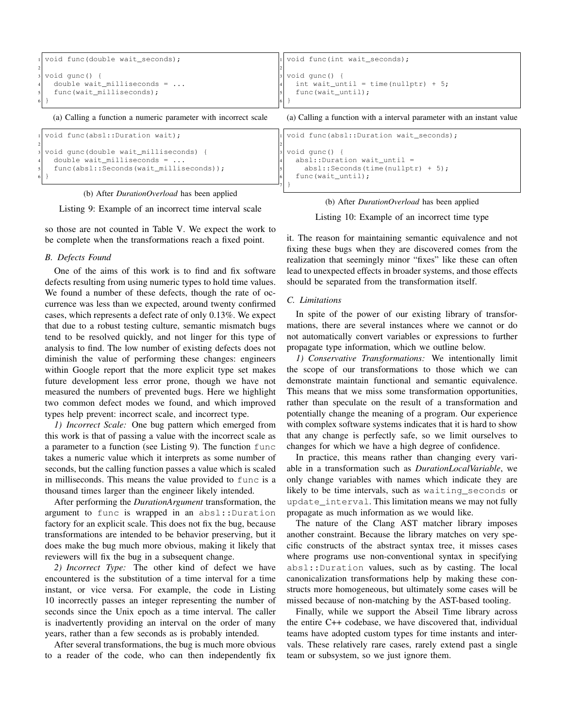

2

<sup>7</sup> }

2 <sup>3</sup> void gunc(double wait\_milliseconds) { <sup>4</sup> double wait\_milliseconds = ... func(absl::Seconds(wait\_milliseconds)); <sup>6</sup> }

(b) After *DurationOverload* has been applied

Listing 9: Example of an incorrect time interval scale

so those are not counted in Table V. We expect the work to be complete when the transformations reach a fixed point.

## *B. Defects Found*

One of the aims of this work is to find and fix software defects resulting from using numeric types to hold time values. We found a number of these defects, though the rate of occurrence was less than we expected, around twenty confirmed cases, which represents a defect rate of only 0.13%. We expect that due to a robust testing culture, semantic mismatch bugs tend to be resolved quickly, and not linger for this type of analysis to find. The low number of existing defects does not diminish the value of performing these changes: engineers within Google report that the more explicit type set makes future development less error prone, though we have not measured the numbers of prevented bugs. Here we highlight two common defect modes we found, and which improved types help prevent: incorrect scale, and incorrect type.

*1) Incorrect Scale:* One bug pattern which emerged from this work is that of passing a value with the incorrect scale as a parameter to a function (see Listing 9). The function func takes a numeric value which it interprets as some number of seconds, but the calling function passes a value which is scaled in milliseconds. This means the value provided to func is a thousand times larger than the engineer likely intended.

After performing the *DurationArgument* transformation, the argument to func is wrapped in an absl::Duration factory for an explicit scale. This does not fix the bug, because transformations are intended to be behavior preserving, but it does make the bug much more obvious, making it likely that reviewers will fix the bug in a subsequent change.

*2) Incorrect Type:* The other kind of defect we have encountered is the substitution of a time interval for a time instant, or vice versa. For example, the code in Listing 10 incorrectly passes an integer representing the number of seconds since the Unix epoch as a time interval. The caller is inadvertently providing an interval on the order of many years, rather than a few seconds as is probably intended.

After several transformations, the bug is much more obvious to a reader of the code, who can then independently fix Listing 10: Example of an incorrect time type

it. The reason for maintaining semantic equivalence and not fixing these bugs when they are discovered comes from the realization that seemingly minor "fixes" like these can often lead to unexpected effects in broader systems, and those effects should be separated from the transformation itself.

#### *C. Limitations*

void qunc() {

func(wait\_until);

absl::Duration wait\_until =

absl::Seconds(time(nullptr) + 5);

In spite of the power of our existing library of transformations, there are several instances where we cannot or do not automatically convert variables or expressions to further propagate type information, which we outline below.

*1) Conservative Transformations:* We intentionally limit the scope of our transformations to those which we can demonstrate maintain functional and semantic equivalence. This means that we miss some transformation opportunities, rather than speculate on the result of a transformation and potentially change the meaning of a program. Our experience with complex software systems indicates that it is hard to show that any change is perfectly safe, so we limit ourselves to changes for which we have a high degree of confidence.

In practice, this means rather than changing every variable in a transformation such as *DurationLocalVariable*, we only change variables with names which indicate they are likely to be time intervals, such as waiting\_seconds or update\_interval. This limitation means we may not fully propagate as much information as we would like.

The nature of the Clang AST matcher library imposes another constraint. Because the library matches on very specific constructs of the abstract syntax tree, it misses cases where programs use non-conventional syntax in specifying absl::Duration values, such as by casting. The local canonicalization transformations help by making these constructs more homogeneous, but ultimately some cases will be missed because of non-matching by the AST-based tooling.

Finally, while we support the Abseil Time library across the entire C++ codebase, we have discovered that, individual teams have adopted custom types for time instants and intervals. These relatively rare cases, rarely extend past a single team or subsystem, so we just ignore them.

(b) After *DurationOverload* has been applied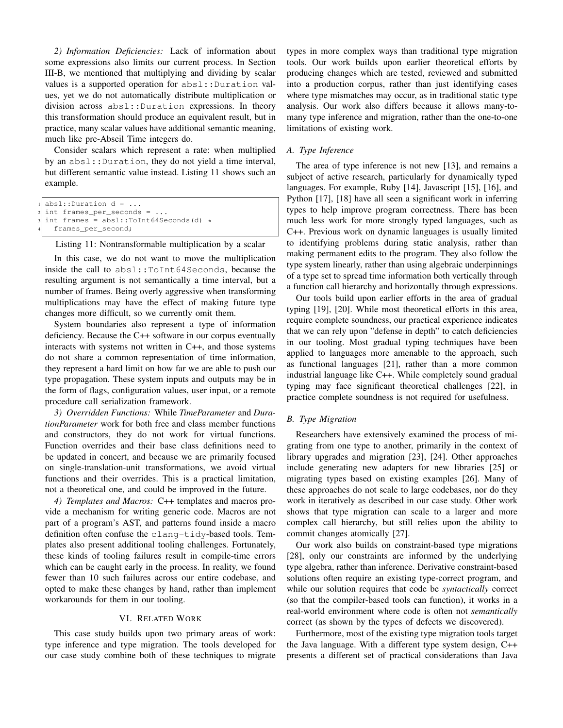*2) Information Deficiencies:* Lack of information about some expressions also limits our current process. In Section III-B, we mentioned that multiplying and dividing by scalar values is a supported operation for absl::Duration values, yet we do not automatically distribute multiplication or division across absl::Duration expressions. In theory this transformation should produce an equivalent result, but in practice, many scalar values have additional semantic meaning, much like pre-Abseil Time integers do.

Consider scalars which represent a rate: when multiplied by an absl::Duration, they do not yield a time interval, but different semantic value instead. Listing 11 shows such an example.

```
abs1::Duration d = ...int frames_per_seconds =
int frames = abs1::Tolnt64Seconds(d) *frames_per_second;
```
Listing 11: Nontransformable multiplication by a scalar

In this case, we do not want to move the multiplication inside the call to absl::ToInt64Seconds, because the resulting argument is not semantically a time interval, but a number of frames. Being overly aggressive when transforming multiplications may have the effect of making future type changes more difficult, so we currently omit them.

System boundaries also represent a type of information deficiency. Because the C++ software in our corpus eventually interacts with systems not written in C++, and those systems do not share a common representation of time information, they represent a hard limit on how far we are able to push our type propagation. These system inputs and outputs may be in the form of flags, configuration values, user input, or a remote procedure call serialization framework.

*3) Overridden Functions:* While *TimeParameter* and *DurationParameter* work for both free and class member functions and constructors, they do not work for virtual functions. Function overrides and their base class definitions need to be updated in concert, and because we are primarily focused on single-translation-unit transformations, we avoid virtual functions and their overrides. This is a practical limitation, not a theoretical one, and could be improved in the future.

*4) Templates and Macros:* C++ templates and macros provide a mechanism for writing generic code. Macros are not part of a program's AST, and patterns found inside a macro definition often confuse the clang-tidy-based tools. Templates also present additional tooling challenges. Fortunately, these kinds of tooling failures result in compile-time errors which can be caught early in the process. In reality, we found fewer than 10 such failures across our entire codebase, and opted to make these changes by hand, rather than implement workarounds for them in our tooling.

## VI. RELATED WORK

This case study builds upon two primary areas of work: type inference and type migration. The tools developed for our case study combine both of these techniques to migrate types in more complex ways than traditional type migration tools. Our work builds upon earlier theoretical efforts by producing changes which are tested, reviewed and submitted into a production corpus, rather than just identifying cases where type mismatches may occur, as in traditional static type analysis. Our work also differs because it allows many-tomany type inference and migration, rather than the one-to-one limitations of existing work.

# *A. Type Inference*

The area of type inference is not new [13], and remains a subject of active research, particularly for dynamically typed languages. For example, Ruby [14], Javascript [15], [16], and Python [17], [18] have all seen a significant work in inferring types to help improve program correctness. There has been much less work for more strongly typed languages, such as C++. Previous work on dynamic languages is usually limited to identifying problems during static analysis, rather than making permanent edits to the program. They also follow the type system linearly, rather than using algebraic underpinnings of a type set to spread time information both vertically through a function call hierarchy and horizontally through expressions.

Our tools build upon earlier efforts in the area of gradual typing [19], [20]. While most theoretical efforts in this area, require complete soundness, our practical experience indicates that we can rely upon "defense in depth" to catch deficiencies in our tooling. Most gradual typing techniques have been applied to languages more amenable to the approach, such as functional languages [21], rather than a more common industrial language like C++. While completely sound gradual typing may face significant theoretical challenges [22], in practice complete soundness is not required for usefulness.

## *B. Type Migration*

Researchers have extensively examined the process of migrating from one type to another, primarily in the context of library upgrades and migration [23], [24]. Other approaches include generating new adapters for new libraries [25] or migrating types based on existing examples [26]. Many of these approaches do not scale to large codebases, nor do they work in iteratively as described in our case study. Other work shows that type migration can scale to a larger and more complex call hierarchy, but still relies upon the ability to commit changes atomically [27].

Our work also builds on constraint-based type migrations [28], only our constraints are informed by the underlying type algebra, rather than inference. Derivative constraint-based solutions often require an existing type-correct program, and while our solution requires that code be *syntactically* correct (so that the compiler-based tools can function), it works in a real-world environment where code is often not *semantically* correct (as shown by the types of defects we discovered).

Furthermore, most of the existing type migration tools target the Java language. With a different type system design, C++ presents a different set of practical considerations than Java